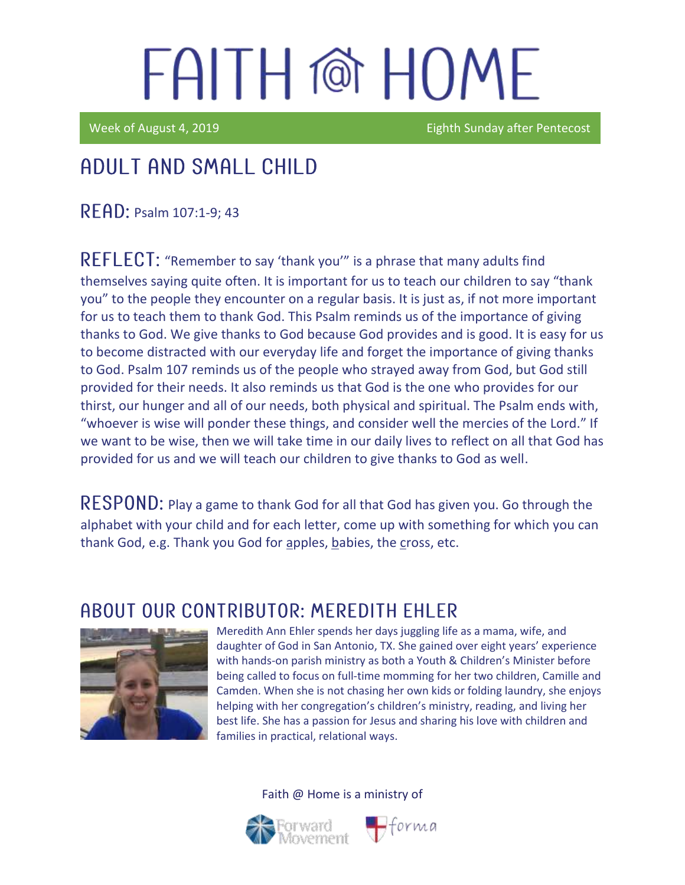Week of August 4, 2019 **Eighth Sunday after Pentecost** 

## Adult and Small Child

**READ: Psalm 107:1-9: 43** 

REFLECT: "Remember to say 'thank you'" is a phrase that many adults find themselves saying quite often. It is important for us to teach our children to say "thank you" to the people they encounter on a regular basis. It is just as, if not more important for us to teach them to thank God. This Psalm reminds us of the importance of giving thanks to God. We give thanks to God because God provides and is good. It is easy for us to become distracted with our everyday life and forget the importance of giving thanks to God. Psalm 107 reminds us of the people who strayed away from God, but God still provided for their needs. It also reminds us that God is the one who provides for our thirst, our hunger and all of our needs, both physical and spiritual. The Psalm ends with, "whoever is wise will ponder these things, and consider well the mercies of the Lord." If we want to be wise, then we will take time in our daily lives to reflect on all that God has provided for us and we will teach our children to give thanks to God as well.

RESPOND: Play a game to thank God for all that God has given you. Go through the alphabet with your child and for each letter, come up with something for which you can thank God, e.g. Thank you God for apples, babies, the cross, etc.

#### ABOUT OUR CONTRIBUTOR: MEREDITH EHLER



Meredith Ann Ehler spends her days juggling life as a mama, wife, and daughter of God in San Antonio, TX. She gained over eight years' experience with hands-on parish ministry as both a Youth & Children's Minister before being called to focus on full-time momming for her two children, Camille and Camden. When she is not chasing her own kids or folding laundry, she enjoys helping with her congregation's children's ministry, reading, and living her best life. She has a passion for Jesus and sharing his love with children and families in practical, relational ways.

 $\blacksquare$ forma



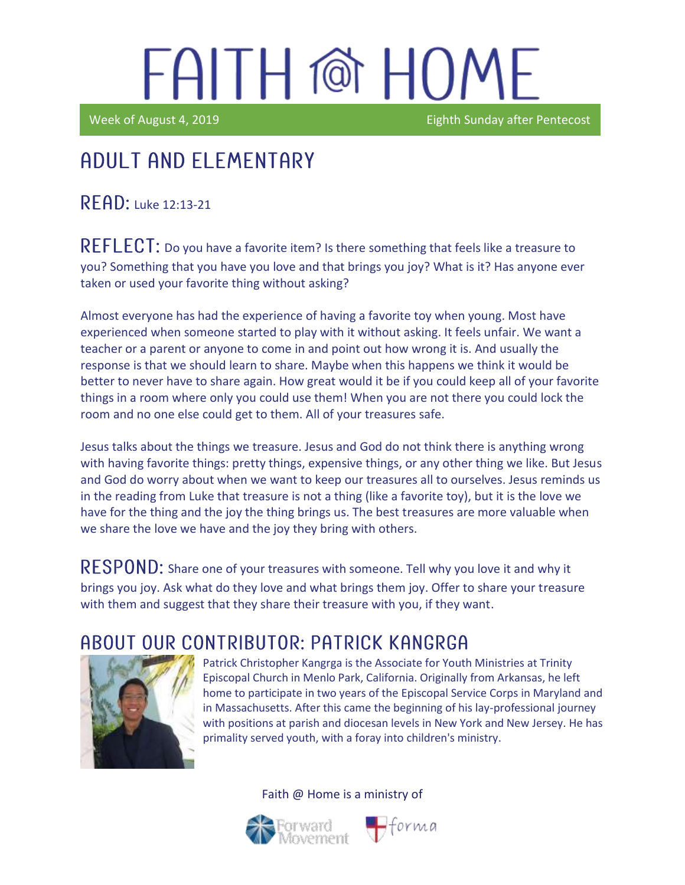Week of August 4, 2019 **Eighth Sunday after Pentecost** 

### Adult and elementary

 $R$   $F$   $AD$ : Luke 12:13-21

REFLECT: Do you have a favorite item? Is there something that feels like a treasure to you? Something that you have you love and that brings you joy? What is it? Has anyone ever taken or used your favorite thing without asking?

Almost everyone has had the experience of having a favorite toy when young. Most have experienced when someone started to play with it without asking. It feels unfair. We want a teacher or a parent or anyone to come in and point out how wrong it is. And usually the response is that we should learn to share. Maybe when this happens we think it would be better to never have to share again. How great would it be if you could keep all of your favorite things in a room where only you could use them! When you are not there you could lock the room and no one else could get to them. All of your treasures safe.

Jesus talks about the things we treasure. Jesus and God do not think there is anything wrong with having favorite things: pretty things, expensive things, or any other thing we like. But Jesus and God do worry about when we want to keep our treasures all to ourselves. Jesus reminds us in the reading from Luke that treasure is not a thing (like a favorite toy), but it is the love we have for the thing and the joy the thing brings us. The best treasures are more valuable when we share the love we have and the joy they bring with others.

RESPOND: Share one of your treasures with someone. Tell why you love it and why it brings you joy. Ask what do they love and what brings them joy. Offer to share your treasure with them and suggest that they share their treasure with you, if they want.

### A BOUT OUR CONTRIBUTOR: PATRICK KANGRGA



Patrick Christopher Kangrga is the Associate for Youth Ministries at Trinity Episcopal Church in Menlo Park, California. Originally from Arkansas, he left home to participate in two years of the Episcopal Service Corps in Maryland and in Massachusetts. After this came the beginning of his lay-professional journey with positions at parish and diocesan levels in New York and New Jersey. He has primality served youth, with a foray into children's ministry.

Faith @ Home is a ministry of



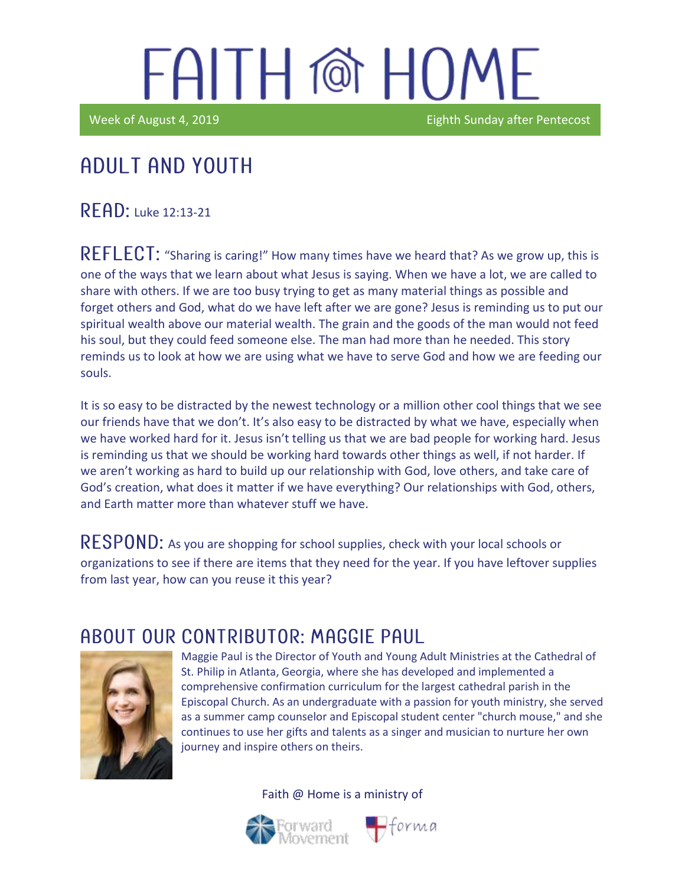Week of August 4, 2019 **Eighth Sunday after Pentecost** 

#### Ϊ Adult and youth

READ: Luke 12:13-21

REFLECT: "Sharing is caring!" How many times have we heard that? As we grow up, this is one of the ways that we learn about what Jesus is saying. When we have a lot, we are called to share with others. If we are too busy trying to get as many material things as possible and forget others and God, what do we have left after we are gone? Jesus is reminding us to put our spiritual wealth above our material wealth. The grain and the goods of the man would not feed his soul, but they could feed someone else. The man had more than he needed. This story reminds us to look at how we are using what we have to serve God and how we are feeding our souls.

It is so easy to be distracted by the newest technology or a million other cool things that we see our friends have that we don't. It's also easy to be distracted by what we have, especially when we have worked hard for it. Jesus isn't telling us that we are bad people for working hard. Jesus is reminding us that we should be working hard towards other things as well, if not harder. If we aren't working as hard to build up our relationship with God, love others, and take care of God's creation, what does it matter if we have everything? Our relationships with God, others, and Earth matter more than whatever stuff we have.

 $\mathsf{RESPOND}\text{: }$  As you are shopping for school supplies, check with your local schools or organizations to see if there are items that they need for the year. If you have leftover supplies from last year, how can you reuse it this year?

#### ABOUT OUR CONTRIBUTOR: MAGGIF PAUL



Maggie Paul is the Director of Youth and Young Adult Ministries at the Cathedral of St. Philip in Atlanta, Georgia, where she has developed and implemented a comprehensive confirmation curriculum for the largest cathedral parish in the Episcopal Church. As an undergraduate with a passion for youth ministry, she served as a summer camp counselor and Episcopal student center "church mouse," and she continues to use her gifts and talents as a singer and musician to nurture her own journey and inspire others on theirs.

Faith @ Home is a ministry of